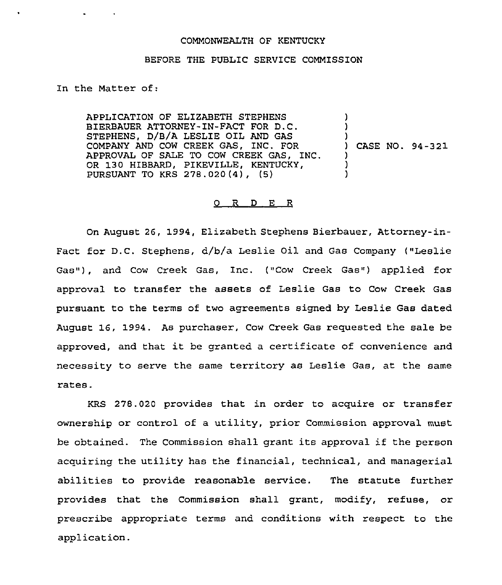## COMMONWEALTH OF KENTUCKY

## BEFORE THE PUBLIC SERVICE COMMISSION

## In the Matter of:

APPLICATION OF ELIZABETH STEPHENS BIERBAUER ATTORNEY-IN-FACT FOR D.C. STEPHENS, D/B/A LESLIE OIL AND GAS COMPANY AND COW CREEK GAS, INC. FOR APPROVAL OF SALE TO COW CREEK GAS, INC. OR 130 HIBBARD, PIKEVILLE, KENTUCKY, PURSUANT TO KRS 278.020(4), (5) ) ) ) ) CASE NO. 94-321 ) ) )

## 0 R <sup>D</sup> E R

On August 26, 1994, Elizabeth Stephens Bierbauer, Attorney-in-Fact for D.C. Stephens, d/b/a Leslie Oil and Gas Company ("Leslie Gas"), and Cow Creek Gas, Inc. ("Cow Creek Gas") applied for approval to transfer the assets of Leslie Gas to Cow Creek Gas pursuant to the terms of two agreements signed by Leslie Gas dated August 16, 1994. As purchaser, Cow Creek Gas requested the sale be approved, and that it be granted <sup>a</sup> certificate of convenience and necessity to serve the same territory as Leslie Gas, at the same rates.

KRS 278.020 provides that in order to acquire or transfer ownership or control of a utility, prior Commission approval must be obtained. The Commission shall grant its approval if the person acquiring the utility has the financial, technical, and managerial abilities to provide reasonable service. The statute further provides that the Commission shall grant, modify, refuse, or prescribe appropriate terms and conditions with respect to the application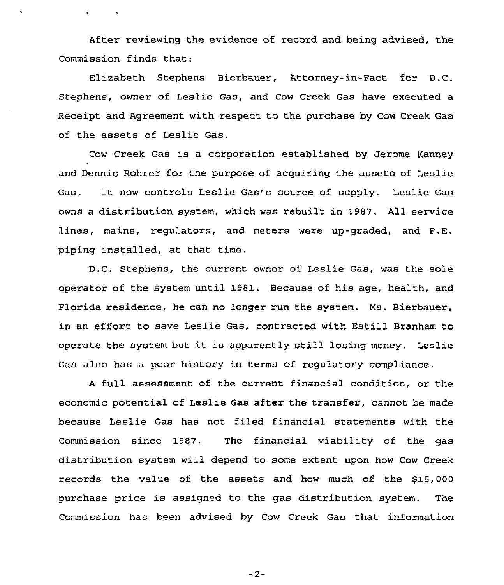After reviewing the evidence of record and being advised, the Commission finds that:

 $\ddot{\phantom{0}}$ 

 $\bullet$  . The second second  $\bullet$ 

Elizabeth Stephens Bierbauer, Attorney-in-Fact for D.C. Stephens, owner of Leslie Gas, and Cow Creek Gas have executed a Receipt and Agreement with respect to the purchase by Cow Creek Gas of the assets of Leslie Gas.

Cow Creek Gas is a corporation established by Jerome Kanney and Dennis Rohrer for the purpose of acquiring the assets of Leslie Gas. It now controls Leslie Gas's source of supply, Leslie Gas owns a distribution system, which was rebuilt in 1987. All service lines, mains, regulators, and meters were up-graded, and P.E. piping installed, at that time.

D.C. Stephens, the current owner of Leslie Gas, was the sole operator of the system until 19B1. Because of his age, health, and Florida residence, he can no longer run the system. Ms. Bierbauer, in an effort to save Leslie Gas, contracted with Estill Branham to operate the system but it is apparently still losing money. Leslie Gas also has a poor history in terms of regulatory compliance.

<sup>A</sup> full assessment of the current financial condition, or the economic potential of Leslie Gas after the transfer, cannot be made because Leslie Gas has not filed financial statements with the Commission since 1987. The financial viability of the gas distribution system will depend to some extent upon how Cow Creek records the value of the assets and how much of the \$15,000 purchase price is assigned to the gas distribution system. The Commission has been advised by Cow Creek Gas that information

 $-2-$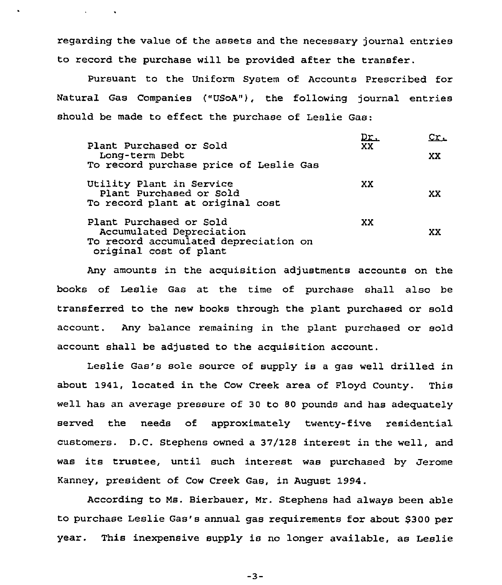regarding the value of the assets and the necessary journal entries to record the purchase will be provided after the transfer.

 $\mathbf{v} = \mathbf{v} \times \mathbf{v}$  .

Pursuant to the Uniform System of Accounts Prescribed for Natural Gas Companies ("USoA"), the following journal entries should be made to effect the purchase of Leslie Gas:

| Plant Purchased or Sold<br>Long-term Debt<br>To record purchase price of Leslie Gas                                    | <u>Dr.</u><br>XX. | Cr.<br>XX. |
|------------------------------------------------------------------------------------------------------------------------|-------------------|------------|
| Utility Plant in Service<br>Plant Purchased or Sold<br>To record plant at original cost                                | XX                | xх         |
| Plant Purchased or Sold<br>Accumulated Depreciation<br>To record accumulated depreciation on<br>original cost of plant | XX                | XX         |

Any amounts in the acquisition adjustments accounts on the books of Leslie Gas at the time of purchase shall also be transferred to the new books through the plant purchased or sold account. Any balance remaining in the plant purchased or sold account shall be adjusted to the acquisition account.

Leslie Gas's sole source of supply is a gas well drilled in about 1941, located in the Cow Creek area of Floyd County. This well has an average pressure of 30 to 80 pounds and has adequately served the needs of approximately twenty-five residential customers. D.C. Stephens owned a 37/128 interest in the well, and was its trustee, until such interest was purchased by Jerome Kanney, president of Cow Creek Gas, in August 1994.

According to Ms. Bierbauer, Mr. Stephens had always been able to purchase Leslie Gas's annual gas requirements for about \$300 per year. This inexpensive supply is no longer available, as Leslie

 $-3-$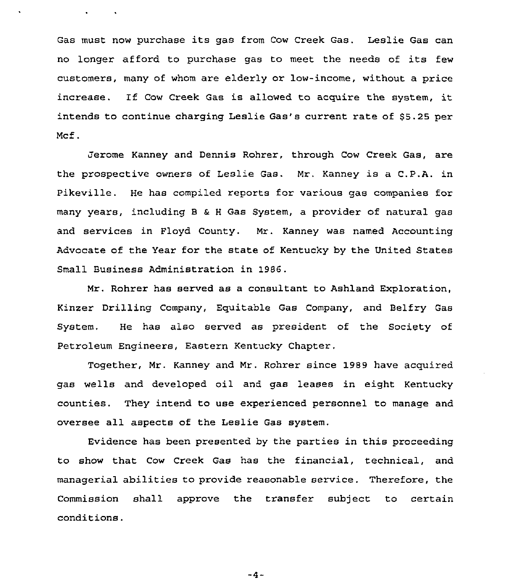Gas must now purchase its gas from Cow Creek Gas. Leslie Gas can no longer afford to purchase gas to meet the needs of its few customers, many of whom are elderly or low-income, without a price increase. If Cow Creek Gas is allowed to acquire the system, it intends to continue charging Leslie Gas's current rate of \$5.25 per Mcf.

 $\sim$   $\sim$ 

Jerome Kanney and Dennis Rohrer, through Cow Creek Gas, are the prospective owners of Leslie Gas. Mr. Kanney is a C.P.A. in Pikeville. He has compiled reports for various gas companies for many years, including <sup>B</sup> <sup>6</sup> <sup>H</sup> Gas System, a provider of natural gas and services in Floyd County. Nr. Kanney was named Accounting Advocate of the Year for the state of Kentucky by the United States Small Business Administration in 19S6.

Mr. Rohrer has served as a consultant to Ashland Exploration, Kinzer Drilling Company, Equitable Gas Company, and Belfry Gas System. He has also served as president of the Society of Petroleum Engineers, Eastern Kentucky Chapter.

Together, Mr. Kanney and Mr. Rohrer since 1989 have acquired. gas wells and developed oil and gas leases in eight Kentucky counties. They intend to use experienced personnel to manage and oversee all aspects of the Leslie Gas system.

Evidence has been presented by the parties in this proceeding to show that Cow Creek Gas has the financial, technical, and managerial abilities to provide reasonable service. Therefore, the Commission shall approve the transfer subject to certain conditions.

 $-4-$